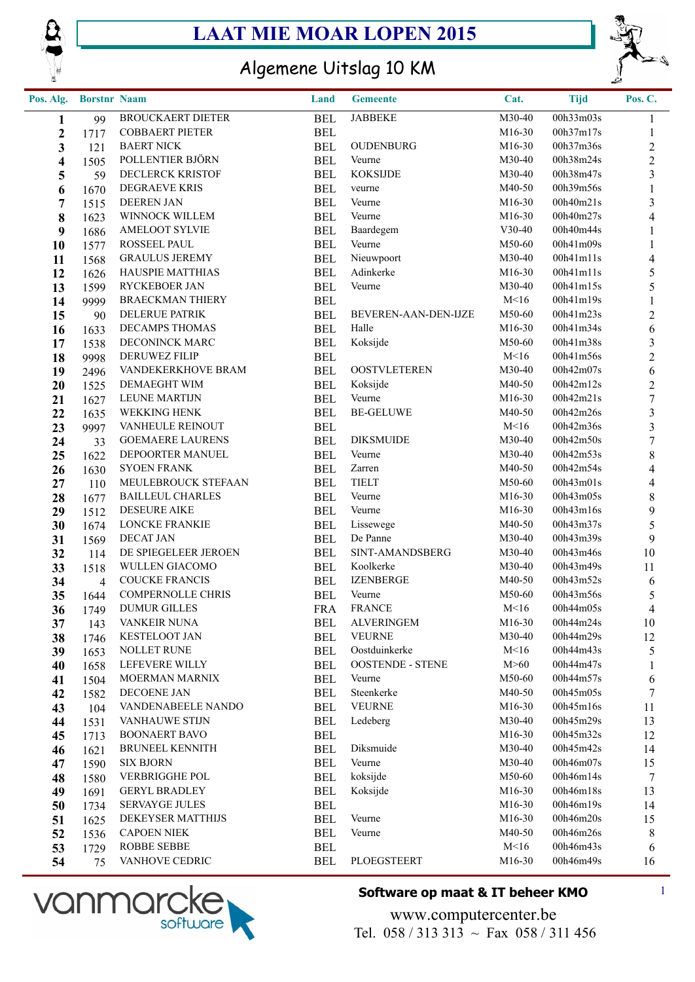



## Algemene Uitslag 10 KM

| Pos. Alg.        | <b>Borstnr Naam</b> |                                   | Land                     | <b>Gemeente</b>             | Cat.                | <b>Tijd</b>            | Pos. C.                  |
|------------------|---------------------|-----------------------------------|--------------------------|-----------------------------|---------------------|------------------------|--------------------------|
| 1                | 99                  | <b>BROUCKAERT DIETER</b>          | <b>BEL</b>               | <b>JABBEKE</b>              | M30-40              | 00h33m03s              | 1                        |
| $\boldsymbol{2}$ | 1717                | <b>COBBAERT PIETER</b>            | <b>BEL</b>               |                             | M <sub>16</sub> -30 | 00h37m17s              | 1                        |
| 3                | 121                 | <b>BAERT NICK</b>                 | <b>BEL</b>               | <b>OUDENBURG</b>            | M16-30              | 00h37m36s              | $\overline{c}$           |
| 4                | 1505                | POLLENTIER BJÖRN                  | <b>BEL</b>               | Veurne                      | M30-40              | 00h38m24s              | $\boldsymbol{2}$         |
| 5                | 59                  | <b>DECLERCK KRISTOF</b>           | <b>BEL</b>               | <b>KOKSIJDE</b>             | M30-40              | 00h38m47s              | 3                        |
| 6                | 1670                | DEGRAEVE KRIS                     | <b>BEL</b>               | veurne                      | M40-50              | 00h39m56s              | $\mathbf{1}$             |
| $\overline{7}$   | 1515                | <b>DEEREN JAN</b>                 | <b>BEL</b>               | Veurne                      | M16-30              | 00h40m21s              | 3                        |
| 8                | 1623                | WINNOCK WILLEM                    | <b>BEL</b>               | Veurne                      | M16-30              | 00h40m27s              | $\overline{\mathbf{4}}$  |
| 9                | 1686                | <b>AMELOOT SYLVIE</b>             | <b>BEL</b>               | Baardegem                   | $V30-40$            | 00h40m44s              | 1                        |
| 10               | 1577                | ROSSEEL PAUL                      | <b>BEL</b>               | Veurne                      | M50-60              | 00h41m09s              | 1                        |
| 11               | 1568                | <b>GRAULUS JEREMY</b>             | <b>BEL</b>               | Nieuwpoort                  | M30-40              | 00h41m11s              | $\overline{\mathcal{A}}$ |
| 12               | 1626                | HAUSPIE MATTHIAS                  | <b>BEL</b>               | Adinkerke                   | M16-30              | 00h41m11s              | 5                        |
| 13               | 1599                | RYCKEBOER JAN                     | <b>BEL</b>               | Veurne                      | M30-40              | 00h41m15s              | 5                        |
| 14               | 9999                | <b>BRAECKMAN THIERY</b>           | <b>BEL</b>               |                             | M<16                | 00h41m19s              | $\mathbf{1}$             |
| 15               | 90                  | DELERUE PATRIK                    | <b>BEL</b>               | BEVEREN-AAN-DEN-IJZE        | M50-60              | 00h41m23s              | $\overline{c}$           |
| 16               | 1633                | DECAMPS THOMAS                    | <b>BEL</b>               | Halle                       | M16-30              | 00h41m34s              | 6                        |
| 17               | 1538                | DECONINCK MARC                    | <b>BEL</b>               | Koksijde                    | M50-60              | 00h41m38s              | 3                        |
| 18               | 9998                | <b>DERUWEZ FILIP</b>              | <b>BEL</b>               |                             | M<16                | 00h41m56s              | $\overline{c}$           |
| 19               | 2496                | VANDEKERKHOVE BRAM                | <b>BEL</b>               | <b>OOSTVLETEREN</b>         | M30-40              | 00h42m07s              | 6                        |
| 20               | 1525                | DEMAEGHT WIM                      | <b>BEL</b>               | Koksijde                    | M40-50              | 00h42m12s              | $\overline{c}$           |
| 21               | 1627                | <b>LEUNE MARTIJN</b>              | <b>BEL</b>               | Veurne                      | M16-30              | 00h42m21s              | $\boldsymbol{7}$         |
| 22               | 1635                | WEKKING HENK                      | <b>BEL</b>               | <b>BE-GELUWE</b>            | M40-50              | 00h42m26s              | 3                        |
| 23               | 9997                | VANHEULE REINOUT                  | <b>BEL</b>               |                             | M<16                | 00h42m36s              | 3                        |
| 24               | 33                  | <b>GOEMAERE LAURENS</b>           | <b>BEL</b>               | <b>DIKSMUIDE</b>            | M30-40              | 00h42m50s              | $\boldsymbol{7}$         |
| 25               | 1622                | DEPOORTER MANUEL                  | <b>BEL</b>               | Veurne                      | M30-40              | 00h42m53s              | $8\,$                    |
| 26               | 1630                | <b>SYOEN FRANK</b>                | <b>BEL</b>               | Zarren                      | M40-50              | 00h42m54s              | 4                        |
| 27               | 110                 | MEULEBROUCK STEFAAN               | <b>BEL</b>               | <b>TIELT</b>                | M50-60              | 00h43m01s              | $\overline{\mathbf{4}}$  |
| 28               | 1677                | <b>BAILLEUL CHARLES</b>           | <b>BEL</b>               | Veurne                      | M16-30              | 00h43m05s              | $8\,$                    |
| 29               | 1512                | <b>DESEURE AIKE</b>               | <b>BEL</b>               | Veurne                      | M16-30              | 00h43m16s              | 9                        |
| 30               | 1674                | <b>LONCKE FRANKIE</b>             | <b>BEL</b>               | Lissewege                   | M40-50              | 00h43m37s              | 5                        |
| 31               | 1569                | <b>DECAT JAN</b>                  | <b>BEL</b>               | De Panne                    | M30-40              | 00h43m39s              | $\overline{9}$           |
| 32               | 114                 | DE SPIEGELEER JEROEN              | <b>BEL</b>               | SINT-AMANDSBERG             | M30-40              | 00h43m46s              | 10                       |
| 33               | 1518                | WULLEN GIACOMO                    | <b>BEL</b>               | Koolkerke                   | M30-40              | 00h43m49s              | 11                       |
| 34               | $\overline{4}$      | <b>COUCKE FRANCIS</b>             | <b>BEL</b>               | <b>IZENBERGE</b>            | M40-50              | 00h43m52s              | 6                        |
| 35               | 1644                | <b>COMPERNOLLE CHRIS</b>          | <b>BEL</b>               | Veurne                      | M50-60              | 00h43m56s              | $\mathfrak{S}$           |
| 36               | 1749                | <b>DUMUR GILLES</b>               | <b>FRA</b>               | <b>FRANCE</b>               | M<16                | 00h44m05s              | 4                        |
| 37               | 143                 | VANKEIR NUNA                      | <b>BEL</b>               | <b>ALVERINGEM</b>           | M16-30              | 00h44m24s              | 10                       |
| 38               | 1746                | <b>KESTELOOT JAN</b>              | <b>BEL</b>               | <b>VEURNE</b>               | M30-40              | 00h44m29s              | 12                       |
| 39               | 1653                | <b>NOLLET RUNE</b>                | <b>BEL</b>               | Oostduinkerke               | M<16                | 00h44m43s              | 5                        |
| 40               | 1658                | LEFEVERE WILLY                    | <b>BEL</b>               | <b>OOSTENDE - STENE</b>     | M>60                | 00h44m47s<br>00h44m57s | 1                        |
| 41               | 1504                | MOERMAN MARNIX                    | <b>BEL</b>               | Veurne                      | M50-60              | 00h45m05s              | 6                        |
| 42               | 1582                | DECOENE JAN<br>VANDENABEELE NANDO | <b>BEL</b>               | Steenkerke<br><b>VEURNE</b> | M40-50<br>M16-30    | 00h45m16s              | 7                        |
| 43               | 104                 | VANHAUWE STIJN                    | <b>BEL</b><br><b>BEL</b> | Ledeberg                    | M30-40              | 00h45m29s              | 11<br>13                 |
| 44               | 1531                | <b>BOONAERT BAVO</b>              | <b>BEL</b>               |                             | M16-30              | 00h45m32s              |                          |
| 45               | 1713                | <b>BRUNEEL KENNITH</b>            | <b>BEL</b>               | Diksmuide                   | M30-40              | 00h45m42s              | 12<br>14                 |
| 46               | 1621                | <b>SIX BJORN</b>                  | <b>BEL</b>               | Veurne                      | M30-40              | 00h46m07s              | 15                       |
| 47<br>48         | 1590                | VERBRIGGHE POL                    | <b>BEL</b>               | koksijde                    | M50-60              | 00h46m14s              | 7                        |
| 49               | 1580                | <b>GERYL BRADLEY</b>              | <b>BEL</b>               | Koksijde                    | M <sub>16</sub> -30 | 00h46m18s              | 13                       |
| 50               | 1691                | <b>SERVAYGE JULES</b>             | <b>BEL</b>               |                             | M <sub>16</sub> -30 | 00h46m19s              | 14                       |
| 51               | 1734<br>1625        | DEKEYSER MATTHIJS                 | <b>BEL</b>               | Veurne                      | M16-30              | 00h46m20s              | 15                       |
| 52               | 1536                | <b>CAPOEN NIEK</b>                | <b>BEL</b>               | Veurne                      | M40-50              | 00h46m26s              | 8                        |
| 53               | 1729                | ROBBE SEBBE                       | <b>BEL</b>               |                             | M<16                | 00h46m43s              | 6                        |
| 54               | 75                  | VANHOVE CEDRIC                    | <b>BEL</b>               | PLOEGSTEERT                 | M16-30              | 00h46m49s              | 16                       |
|                  |                     |                                   |                          |                             |                     |                        |                          |



### **Software op maat & IT beheer KMO** 1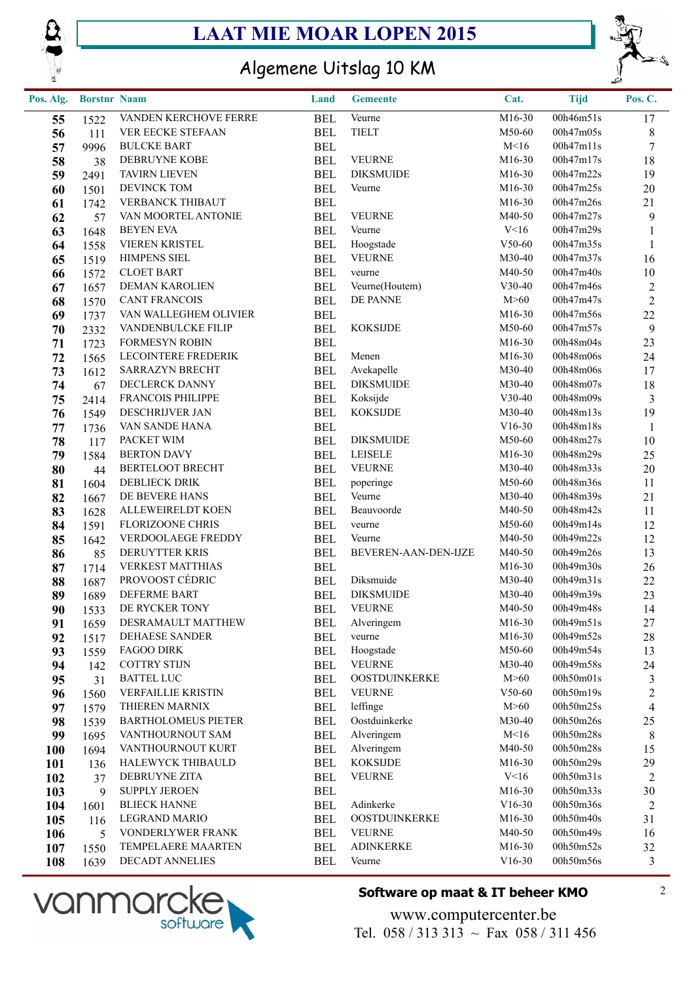



## Algemene Uitslag 10 KM

| Pos. Alg.  | <b>Borstnr Naam</b> |                                             | Land                     | <b>Gemeente</b>      | Cat.               | <b>Tijd</b>            | Pos. C.                 |
|------------|---------------------|---------------------------------------------|--------------------------|----------------------|--------------------|------------------------|-------------------------|
| 55         | 1522                | VANDEN KERCHOVE FERRE                       | <b>BEL</b>               | Veurne               | M16-30             | 00h46m51s              | 17                      |
| 56         | 111                 | VER EECKE STEFAAN                           | <b>BEL</b>               | <b>TIELT</b>         | M50-60             | 00h47m05s              | $8\,$                   |
| 57         | 9996                | <b>BULCKE BART</b>                          | <b>BEL</b>               |                      | M<16               | 00h47m11s              | $\boldsymbol{7}$        |
| 58         | 38                  | DEBRUYNE KOBE                               | <b>BEL</b>               | <b>VEURNE</b>        | M16-30             | 00h47m17s              | $18\,$                  |
| 59         | 2491                | <b>TAVIRN LIEVEN</b>                        | <b>BEL</b>               | <b>DIKSMUIDE</b>     | M16-30             | 00h47m22s              | 19                      |
| 60         | 1501                | DEVINCK TOM                                 | <b>BEL</b>               | Veurne               | M16-30             | 00h47m25s              | $20\,$                  |
| 61         | 1742                | VERBANCK THIBAUT                            | <b>BEL</b>               |                      | M16-30             | 00h47m26s              | 21                      |
| 62         | 57                  | VAN MOORTEL ANTONIE                         | <b>BEL</b>               | <b>VEURNE</b>        | M40-50             | 00h47m27s              | $\boldsymbol{9}$        |
| 63         | 1648                | <b>BEYEN EVA</b>                            | <b>BEL</b>               | Veurne               | V<16               | 00h47m29s              | $\mathbf{1}$            |
| 64         | 1558                | VIEREN KRISTEL                              | <b>BEL</b>               | Hoogstade            | $V50-60$           | 00h47m35s              | $\mathbf{1}$            |
| 65         | 1519                | <b>HIMPENS SIEL</b>                         | <b>BEL</b>               | <b>VEURNE</b>        | M30-40             | 00h47m37s              | 16                      |
| 66         | 1572                | <b>CLOET BART</b>                           | <b>BEL</b>               | veurne               | M40-50             | 00h47m40s              | $10\,$                  |
| 67         | 1657                | DEMAN KAROLIEN                              | <b>BEL</b>               | Veurne(Houtem)       | $V30-40$           | 00h47m46s              | $\overline{c}$          |
| 68         | 1570                | <b>CANT FRANCOIS</b>                        | <b>BEL</b>               | DE PANNE             | M>60               | 00h47m47s              | $\sqrt{2}$              |
| 69         | 1737                | VAN WALLEGHEM OLIVIER                       | <b>BEL</b>               |                      | M16-30             | 00h47m56s              | $22\,$                  |
| 70         | 2332                | VANDENBULCKE FILIP                          | <b>BEL</b>               | <b>KOKSIJDE</b>      | M50-60             | 00h47m57s              | $\boldsymbol{9}$        |
| 71         | 1723                | <b>FORMESYN ROBIN</b>                       | <b>BEL</b>               |                      | M16-30             | 00h48m04s              | 23                      |
| 72         | 1565                | <b>LECOINTERE FREDERIK</b>                  | <b>BEL</b>               | Menen                | M16-30             | 00h48m06s              | 24                      |
| 73         | 1612                | SARRAZYN BRECHT                             | <b>BEL</b>               | Avekapelle           | M30-40             | 00h48m06s              | 17                      |
| 74         | 67                  | DECLERCK DANNY                              | <b>BEL</b>               | <b>DIKSMUIDE</b>     | M30-40             | 00h48m07s              | 18                      |
| 75         | 2414                | FRANCOIS PHILIPPE                           | <b>BEL</b>               | Koksijde             | $V30-40$           | 00h48m09s              | $\mathfrak{Z}$          |
| 76         | 1549                | DESCHRIJVER JAN                             | <b>BEL</b>               | <b>KOKSIJDE</b>      | M30-40             | 00h48m13s              | 19                      |
| 77         | 1736                | VAN SANDE HANA                              | <b>BEL</b>               |                      | $V16-30$           | 00h48m18s              | $\mathbf{1}$            |
| 78         | 117                 | PACKET WIM                                  | <b>BEL</b>               | <b>DIKSMUIDE</b>     | M50-60             | 00h48m27s              | $10\,$                  |
| 79         | 1584                | <b>BERTON DAVY</b>                          | <b>BEL</b>               | <b>LEISELE</b>       | M16-30             | 00h48m29s              | 25                      |
| 80         | 44                  | BERTELOOT BRECHT                            | <b>BEL</b>               | <b>VEURNE</b>        | M30-40             | 00h48m33s              | $20\,$                  |
| 81         | 1604                | <b>DEBLIECK DRIK</b>                        | <b>BEL</b>               | poperinge            | M50-60             | 00h48m36s              | 11                      |
| 82         | 1667                | DE BEVERE HANS                              | <b>BEL</b>               | Veurne               | M30-40             | 00h48m39s              | 21                      |
| 83         | 1628                | ALLEWEIRELDT KOEN                           | <b>BEL</b>               | Beauvoorde           | M40-50             | 00h48m42s              | 11                      |
| 84         | 1591                | FLORIZOONE CHRIS                            | <b>BEL</b>               | veurne               | M50-60             | 00h49m14s              | 12                      |
| 85         | 1642                | VERDOOLAEGE FREDDY                          | <b>BEL</b>               | Veurne               | M40-50             | 00h49m22s              | 12                      |
| 86         | 85                  | DERUYTTER KRIS                              | <b>BEL</b>               | BEVEREN-AAN-DEN-IJZE | M40-50             | 00h49m26s              | 13                      |
| 87         | 1714                | <b>VERKEST MATTHIAS</b>                     | <b>BEL</b>               |                      | M16-30             | 00h49m30s              | 26                      |
| 88         | 1687                | PROVOOST CÉDRIC                             | <b>BEL</b>               | Diksmuide            | M30-40             | 00h49m31s              | 22                      |
| 89         | 1689                | <b>DEFERME BART</b>                         | <b>BEL</b>               | <b>DIKSMUIDE</b>     | M30-40             | 00h49m39s              | 23                      |
| 90         | 1533                | DE RYCKER TONY                              | <b>BEL</b>               | <b>VEURNE</b>        | M40-50             | 00h49m48s              | 14                      |
| 91         | 1659                | DESRAMAULT MATTHEW                          | BEL                      | Alveringem           | M16-30             | 00h49m51s              | 27                      |
| 92         | 1517                | DEHAESE SANDER                              | <b>BEL</b>               | veurne               | M16-30             | 00h49m52s              | $28\,$                  |
| 93         | 1559                | <b>FAGOO DIRK</b>                           | <b>BEL</b>               | Hoogstade            | M50-60             | 00h49m54s              | 13                      |
| 94         | 142                 | <b>COTTRY STIJN</b>                         | <b>BEL</b>               | <b>VEURNE</b>        | M30-40             | 00h49m58s              | 24                      |
| 95         | 31                  | <b>BATTEL LUC</b>                           | <b>BEL</b>               | OOSTDUINKERKE        | M>60               | 00h50m01s              | $\mathfrak{Z}$          |
| 96         | 1560                | <b>VERFAILLIE KRISTIN</b>                   | <b>BEL</b>               | <b>VEURNE</b>        | $V50-60$           | 00h50m19s              | $\overline{c}$          |
| 97         | 1579                | THIEREN MARNIX                              | <b>BEL</b>               | leffinge             | M>60               | 00h50m25s              | $\overline{\mathbf{4}}$ |
| 98         | 1539                | <b>BARTHOLOMEUS PIETER</b>                  | <b>BEL</b>               | Oostduinkerke        | M30-40             | 00h50m26s              | 25                      |
| 99         | 1695                | VANTHOURNOUT SAM                            | BEL                      | Alveringem           | M<16               | 00h50m28s              | $\,8\,$                 |
| <b>100</b> | 1694                | VANTHOURNOUT KURT                           | <b>BEL</b>               | Alveringem           | M40-50             | 00h50m28s<br>00h50m29s | 15                      |
| <b>101</b> | 136                 | HALEWYCK THIBAULD                           | <b>BEL</b>               | <b>KOKSIJDE</b>      | M16-30             |                        | 29                      |
| 102        | 37                  | DEBRUYNE ZITA                               | BEL                      | <b>VEURNE</b>        | V<16               | 00h50m31s              | $\overline{2}$          |
| 103        | 9                   | <b>SUPPLY JEROEN</b><br><b>BLIECK HANNE</b> | <b>BEL</b>               | Adinkerke            | M16-30<br>$V16-30$ | 00h50m33s<br>00h50m36s | 30                      |
| 104        | 1601                | LEGRAND MARIO                               | <b>BEL</b>               | <b>OOSTDUINKERKE</b> | M16-30             | 00h50m40s              | $\overline{c}$<br>31    |
| 105        | 116                 | VONDERLYWER FRANK                           | <b>BEL</b><br><b>BEL</b> | <b>VEURNE</b>        | M40-50             | 00h50m49s              | 16                      |
| 106        | 5                   | TEMPELAERE MAARTEN                          | <b>BEL</b>               | <b>ADINKERKE</b>     | M16-30             | 00h50m52s              | 32                      |
| 107        | 1550                | DECADT ANNELIES                             | <b>BEL</b>               | Veurne               | $V16-30$           | 00h50m56s              | $\mathfrak{Z}$          |
| 108        | 1639                |                                             |                          |                      |                    |                        |                         |



### **Software op maat & IT beheer KMO** 2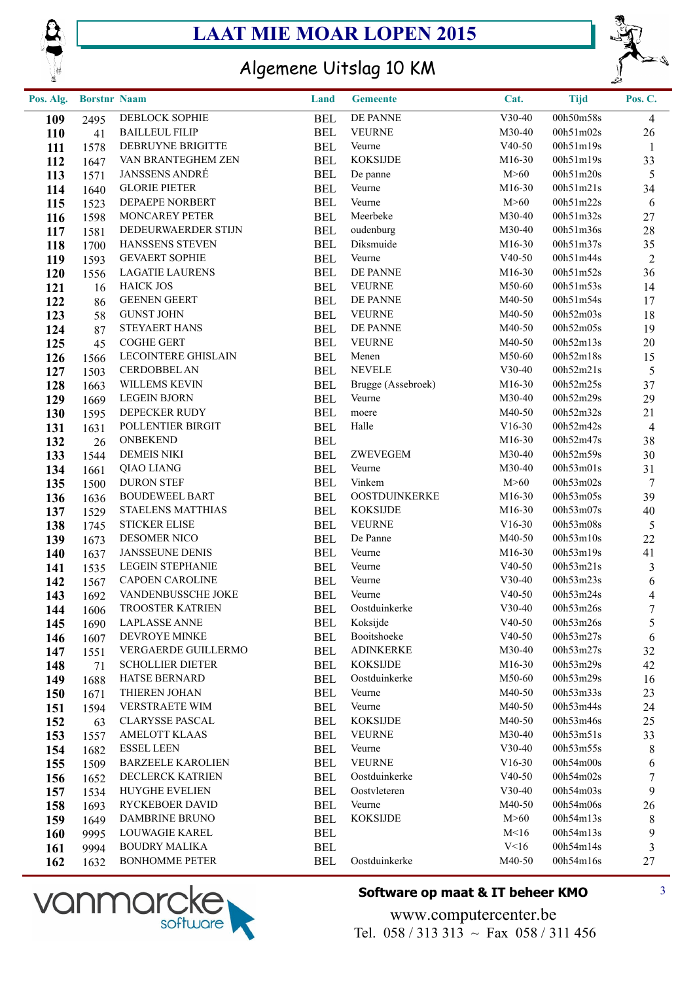



## Algemene Uitslag 10 KM

| Pos. Alg.  | <b>Borstnr Naam</b> |                                        | Land                     | <b>Gemeente</b>         | Cat.             | <b>Tijd</b>            | Pos. C.        |
|------------|---------------------|----------------------------------------|--------------------------|-------------------------|------------------|------------------------|----------------|
| 109        | 2495                | DEBLOCK SOPHIE                         | <b>BEL</b>               | DE PANNE                | $V30-40$         | 00h50m58s              | $\overline{4}$ |
| <b>110</b> | 41                  | <b>BAILLEUL FILIP</b>                  | BEL                      | <b>VEURNE</b>           | M30-40           | 00h51m02s              | 26             |
| 111        | 1578                | DEBRUYNE BRIGITTE                      | <b>BEL</b>               | Veurne                  | $V40-50$         | 00h51m19s              | $\mathbf{1}$   |
| 112        | 1647                | VAN BRANTEGHEM ZEN                     | <b>BEL</b>               | <b>KOKSIJDE</b>         | M16-30           | 00h51m19s              | 33             |
| 113        | 1571                | <b>JANSSENS ANDRÉ</b>                  | <b>BEL</b>               | De panne                | M>60             | 00h51m20s              | $5\,$          |
| 114        | 1640                | <b>GLORIE PIETER</b>                   | <b>BEL</b>               | Veurne                  | M16-30           | 00h51m21s              | 34             |
| 115        | 1523                | DEPAEPE NORBERT                        | <b>BEL</b>               | Veurne                  | M>60             | 00h51m22s              | 6              |
| 116        | 1598                | MONCAREY PETER                         | <b>BEL</b>               | Meerbeke                | M30-40           | 00h51m32s              | 27             |
| 117        | 1581                | DEDEURWAERDER STIJN                    | <b>BEL</b>               | oudenburg               | M30-40           | 00h51m36s              | $28\,$         |
| 118        | 1700                | HANSSENS STEVEN                        | <b>BEL</b>               | Diksmuide               | M16-30           | 00h51m37s              | 35             |
| 119        | 1593                | <b>GEVAERT SOPHIE</b>                  | <b>BEL</b>               | Veurne                  | $V40-50$         | 00h51m44s              | 2              |
| 120        | 1556                | <b>LAGATIE LAURENS</b>                 | <b>BEL</b>               | DE PANNE                | M16-30           | 00h51m52s              | 36             |
| 121        | 16                  | <b>HAICK JOS</b>                       | <b>BEL</b>               | <b>VEURNE</b>           | M50-60           | 00h51m53s              | 14             |
| 122        | 86                  | <b>GEENEN GEERT</b>                    | <b>BEL</b>               | DE PANNE                | M40-50           | 00h51m54s              | 17             |
| 123        | 58                  | <b>GUNST JOHN</b>                      | <b>BEL</b>               | <b>VEURNE</b>           | M40-50           | 00h52m03s              | 18             |
| 124        | 87                  | <b>STEYAERT HANS</b>                   | BEL                      | DE PANNE                | M40-50           | 00h52m05s              | 19             |
| 125        | 45                  | <b>COGHE GERT</b>                      | <b>BEL</b>               | <b>VEURNE</b>           | M40-50           | 00h52m13s              | 20             |
| 126        | 1566                | <b>LECOINTERE GHISLAIN</b>             | <b>BEL</b>               | Menen                   | M50-60           | 00h52m18s              | 15             |
| 127        | 1503                | <b>CERDOBBEL AN</b>                    | <b>BEL</b>               | <b>NEVELE</b>           | $V30-40$         | 00h52m21s              | $\mathfrak{S}$ |
| 128        | 1663                | WILLEMS KEVIN                          | <b>BEL</b>               | Brugge (Assebroek)      | M16-30           | 00h52m25s              | 37             |
| 129        | 1669                | <b>LEGEIN BJORN</b>                    | <b>BEL</b>               | Veurne                  | M30-40           | 00h52m29s              | 29             |
| 130        | 1595                | DEPECKER RUDY                          | <b>BEL</b>               | moere                   | M40-50           | 00h52m32s              | 21             |
| 131        | 1631                | POLLENTIER BIRGIT                      | <b>BEL</b>               | Halle                   | $V16-30$         | 00h52m42s              | $\overline{4}$ |
| 132        | 26                  | <b>ONBEKEND</b>                        | <b>BEL</b>               |                         | M16-30           | 00h52m47s              | 38             |
| 133        | 1544                | <b>DEMEIS NIKI</b>                     | <b>BEL</b>               | ZWEVEGEM                | M30-40           | 00h52m59s              | 30             |
| 134        | 1661                | QIAO LIANG                             | <b>BEL</b>               | Veurne                  | M30-40           | 00h53m01s              | 31             |
| 135        | 1500                | <b>DURON STEF</b>                      | <b>BEL</b>               | Vinkem                  | M>60             | 00h53m02s              | $\overline{7}$ |
| 136        | 1636                | <b>BOUDEWEEL BART</b>                  | <b>BEL</b>               | OOSTDUINKERKE           | M16-30           | 00h53m05s              | 39             |
| 137        | 1529                | <b>STAELENS MATTHIAS</b>               | <b>BEL</b>               | <b>KOKSIJDE</b>         | M16-30           | 00h53m07s              | 40             |
| 138        | 1745                | <b>STICKER ELISE</b>                   | <b>BEL</b>               | <b>VEURNE</b>           | $V16-30$         | 00h53m08s              | $\mathfrak{S}$ |
| 139        | 1673                | DESOMER NICO                           | <b>BEL</b>               | De Panne                | M40-50           | 00h53m10s              | 22             |
| 140        | 1637                | <b>JANSSEUNE DENIS</b>                 | <b>BEL</b>               | Veurne                  | M16-30           | 00h53m19s              | 41             |
| 141        | 1535                | <b>LEGEIN STEPHANIE</b>                | <b>BEL</b>               | Veurne                  | $V40-50$         | 00h53m21s              | $\mathfrak{Z}$ |
| 142        | 1567                | <b>CAPOEN CAROLINE</b>                 | BEL                      | Veurne                  | $V30-40$         | 00h53m23s              | $\sqrt{6}$     |
| 143        | 1692                | VANDENBUSSCHE JOKE                     | <b>BEL</b>               | Veurne                  | $V40-50$         | 00h53m24s              | $\overline{4}$ |
| 144        | 1606                | <b>TROOSTER KATRIEN</b>                | <b>BEL</b>               | Oostduinkerke           | $V30-40$         | 00h53m26s              | $\tau$         |
| 145        | 1690                | <b>LAPLASSE ANNE</b>                   | BEL                      | Koksijde                | $V40-50$         | 00h53m26s              | 5              |
| 146        | 1607                | DEVROYE MINKE                          | <b>BEL</b>               | Booitshoeke             | $V40-50$         | 00h53m27s              | 6              |
| 147        | 1551                | VERGAERDE GUILLERMO                    | <b>BEL</b>               | <b>ADINKERKE</b>        | M30-40           | 00h53m27s              | 32             |
| 148        | 71                  | <b>SCHOLLIER DIETER</b>                | <b>BEL</b>               | <b>KOKSIJDE</b>         | M16-30           | 00h53m29s              | 42             |
| 149        | 1688                | HATSE BERNARD                          | <b>BEL</b>               | Oostduinkerke<br>Veurne | M50-60           | 00h53m29s              | 16             |
| 150        | 1671                | THIEREN JOHAN<br><b>VERSTRAETE WIM</b> | <b>BEL</b>               | Veurne                  | M40-50<br>M40-50 | 00h53m33s<br>00h53m44s | 23<br>24       |
| 151        | 1594                | <b>CLARYSSE PASCAL</b>                 | <b>BEL</b>               | <b>KOKSIJDE</b>         | M40-50           | 00h53m46s              |                |
| 152        | 63                  | <b>AMELOTT KLAAS</b>                   | <b>BEL</b>               | <b>VEURNE</b>           | M30-40           | 00h53m51s              | 25             |
| 153        | 1557                | <b>ESSEL LEEN</b>                      | <b>BEL</b><br><b>BEL</b> |                         | $V30-40$         | 00h53m55s              | 33             |
| 154        | 1682                | <b>BARZEELE KAROLIEN</b>               | <b>BEL</b>               | Veurne<br><b>VEURNE</b> | $V16-30$         | 00h54m00s              | 8<br>6         |
| 155        | 1509                | DECLERCK KATRIEN                       | <b>BEL</b>               | Oostduinkerke           | $V40-50$         | 00h54m02s              | 7              |
| 156        | 1652                | <b>HUYGHE EVELIEN</b>                  | <b>BEL</b>               | Oostvleteren            | $V30-40$         | 00h54m03s              | 9              |
| 157        | 1534                | RYCKEBOER DAVID                        | <b>BEL</b>               | Veurne                  | M40-50           | 00h54m06s              | 26             |
| 158<br>159 | 1693<br>1649        | DAMBRINE BRUNO                         | <b>BEL</b>               | <b>KOKSIJDE</b>         | M>60             | 00h54m13s              | 8              |
| <b>160</b> | 9995                | LOUWAGIE KAREL                         | <b>BEL</b>               |                         | M < 16           | 00h54m13s              | 9              |
| 161        | 9994                | <b>BOUDRY MALIKA</b>                   | <b>BEL</b>               |                         | V<16             | 00h54m14s              | 3              |
| 162        | 1632                | <b>BONHOMME PETER</b>                  | <b>BEL</b>               | Oostduinkerke           | M40-50           | 00h54m16s              | 27             |
|            |                     |                                        |                          |                         |                  |                        |                |



### **Software op maat & IT beheer KMO** 3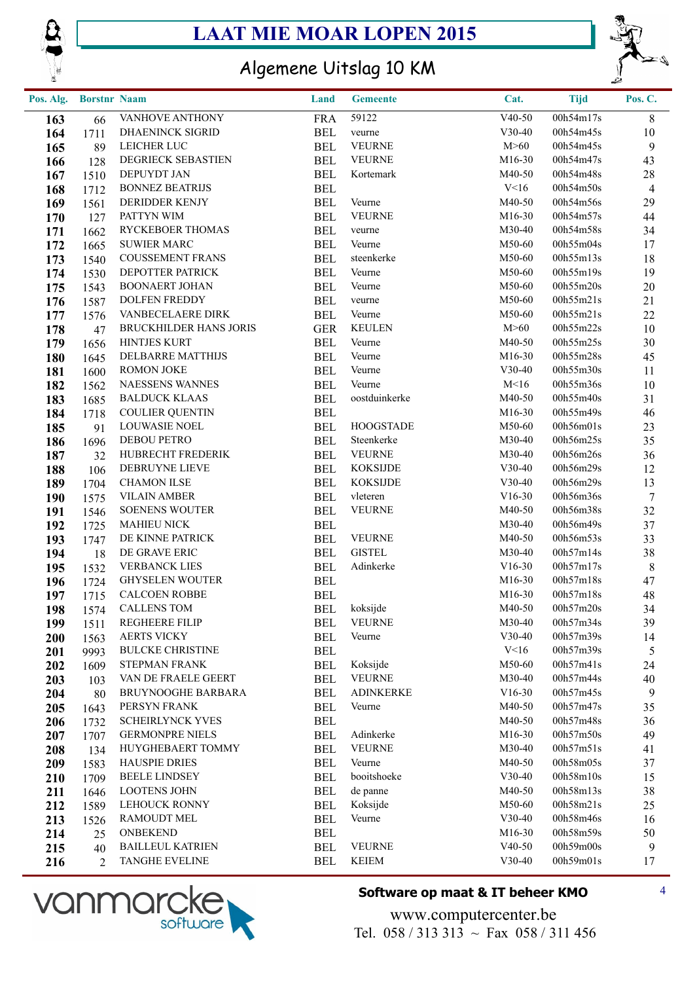



## Algemene Uitslag 10 KM

| Pos. Alg. | <b>Borstnr Naam</b> |                         | Land       | <b>Gemeente</b>  | Cat.     | <b>Tijd</b> | Pos. C.         |
|-----------|---------------------|-------------------------|------------|------------------|----------|-------------|-----------------|
| 163       | 66                  | VANHOVE ANTHONY         | <b>FRA</b> | 59122            | $V40-50$ | 00h54m17s   | 8               |
| 164       | 1711                | DHAENINCK SIGRID        | <b>BEL</b> | veurne           | $V30-40$ | 00h54m45s   | 10              |
| 165       | 89                  | LEICHER LUC             | <b>BEL</b> | <b>VEURNE</b>    | M>60     | 00h54m45s   | 9               |
| 166       | 128                 | DEGRIECK SEBASTIEN      | <b>BEL</b> | <b>VEURNE</b>    | M16-30   | 00h54m47s   | 43              |
| 167       | 1510                | DEPUYDT JAN             | <b>BEL</b> | Kortemark        | M40-50   | 00h54m48s   | $28\,$          |
| 168       | 1712                | <b>BONNEZ BEATRIJS</b>  | <b>BEL</b> |                  | V<16     | 00h54m50s   | $\overline{4}$  |
| 169       | 1561                | DERIDDER KENJY          | <b>BEL</b> | Veurne           | M40-50   | 00h54m56s   | 29              |
| 170       | 127                 | PATTYN WIM              | <b>BEL</b> | <b>VEURNE</b>    | M16-30   | 00h54m57s   | 44              |
| 171       | 1662                | RYCKEBOER THOMAS        | <b>BEL</b> | veurne           | M30-40   | 00h54m58s   | 34              |
| 172       | 1665                | <b>SUWIER MARC</b>      | <b>BEL</b> | Veurne           | M50-60   | 00h55m04s   | 17              |
| 173       | 1540                | <b>COUSSEMENT FRANS</b> | <b>BEL</b> | steenkerke       | M50-60   | 00h55m13s   | 18              |
| 174       | 1530                | DEPOTTER PATRICK        | <b>BEL</b> | Veurne           | M50-60   | 00h55m19s   | 19              |
| 175       | 1543                | <b>BOONAERT JOHAN</b>   | <b>BEL</b> | Veurne           | M50-60   | 00h55m20s   | 20              |
| 176       | 1587                | <b>DOLFEN FREDDY</b>    | <b>BEL</b> | veurne           | M50-60   | 00h55m21s   | 21              |
| 177       | 1576                | VANBECELAERE DIRK       | <b>BEL</b> | Veurne           | M50-60   | 00h55m21s   | $22\,$          |
| 178       | 47                  | BRUCKHILDER HANS JORIS  | <b>GER</b> | <b>KEULEN</b>    | M>60     | 00h55m22s   | 10              |
| 179       | 1656                | <b>HINTJES KURT</b>     | <b>BEL</b> | Veurne           | M40-50   | 00h55m25s   | 30              |
| 180       | 1645                | DELBARRE MATTHIJS       | <b>BEL</b> | Veurne           | M16-30   | 00h55m28s   | 45              |
| 181       | 1600                | <b>ROMON JOKE</b>       | <b>BEL</b> | Veurne           | $V30-40$ | 00h55m30s   | 11              |
| 182       | 1562                | NAESSENS WANNES         | <b>BEL</b> | Veurne           | M<16     | 00h55m36s   | 10              |
| 183       | 1685                | <b>BALDUCK KLAAS</b>    | <b>BEL</b> | oostduinkerke    | M40-50   | 00h55m40s   | 31              |
| 184       | 1718                | <b>COULIER QUENTIN</b>  | <b>BEL</b> |                  | M16-30   | 00h55m49s   | 46              |
| 185       | 91                  | <b>LOUWASIE NOEL</b>    | <b>BEL</b> | <b>HOOGSTADE</b> | M50-60   | 00h56m01s   | 23              |
| 186       | 1696                | DEBOU PETRO             | <b>BEL</b> | Steenkerke       | M30-40   | 00h56m25s   | 35              |
| 187       | 32                  | HUBRECHT FREDERIK       | <b>BEL</b> | <b>VEURNE</b>    | M30-40   | 00h56m26s   | 36              |
| 188       | 106                 | DEBRUYNE LIEVE          | <b>BEL</b> | <b>KOKSIJDE</b>  | $V30-40$ | 00h56m29s   | 12              |
| 189       | 1704                | <b>CHAMON ILSE</b>      | <b>BEL</b> | <b>KOKSIJDE</b>  | $V30-40$ | 00h56m29s   | 13              |
| 190       | 1575                | <b>VILAIN AMBER</b>     | <b>BEL</b> | vleteren         | $V16-30$ | 00h56m36s   | $7\phantom{.0}$ |
| 191       | 1546                | <b>SOENENS WOUTER</b>   | <b>BEL</b> | <b>VEURNE</b>    | M40-50   | 00h56m38s   | 32              |
| 192       | 1725                | <b>MAHIEU NICK</b>      | <b>BEL</b> |                  | M30-40   | 00h56m49s   | 37              |
| 193       | 1747                | DE KINNE PATRICK        | <b>BEL</b> | <b>VEURNE</b>    | M40-50   | 00h56m53s   | 33              |
| 194       | 18                  | DE GRAVE ERIC           | <b>BEL</b> | <b>GISTEL</b>    | M30-40   | 00h57m14s   | 38              |
| 195       | 1532                | <b>VERBANCK LIES</b>    | <b>BEL</b> | Adinkerke        | $V16-30$ | 00h57m17s   | $\,8\,$         |
| 196       | 1724                | <b>GHYSELEN WOUTER</b>  | <b>BEL</b> |                  | M16-30   | 00h57m18s   | 47              |
| 197       | 1715                | <b>CALCOEN ROBBE</b>    | <b>BEL</b> |                  | M16-30   | 00h57m18s   | 48              |
| 198       | 1574                | <b>CALLENS TOM</b>      | <b>BEL</b> | koksijde         | M40-50   | 00h57m20s   | 34              |
| 199       | 1511                | REGHEERE FILIP          | <b>BEL</b> | <b>VEURNE</b>    | M30-40   | 00h57m34s   | 39              |
| 200       | 1563                | <b>AERTS VICKY</b>      | <b>BEL</b> | Veurne           | $V30-40$ | 00h57m39s   | 14              |
| 201       | 9993                | <b>BULCKE CHRISTINE</b> | <b>BEL</b> |                  | V<16     | 00h57m39s   | $\mathfrak{S}$  |
| 202       | 1609                | STEPMAN FRANK           | <b>BEL</b> | Koksijde         | M50-60   | 00h57m41s   | 24              |
| 203       | 103                 | VAN DE FRAELE GEERT     | <b>BEL</b> | <b>VEURNE</b>    | M30-40   | 00h57m44s   | 40              |
| 204       | 80                  | BRUYNOOGHE BARBARA      | <b>BEL</b> | <b>ADINKERKE</b> | $V16-30$ | 00h57m45s   | $\overline{9}$  |
| 205       | 1643                | PERSYN FRANK            | <b>BEL</b> | Veurne           | M40-50   | 00h57m47s   | 35              |
| 206       | 1732                | <b>SCHEIRLYNCK YVES</b> | <b>BEL</b> |                  | M40-50   | 00h57m48s   | 36              |
| 207       | 1707                | <b>GERMONPRE NIELS</b>  | <b>BEL</b> | Adinkerke        | M16-30   | 00h57m50s   | 49              |
| 208       | 134                 | HUYGHEBAERT TOMMY       | <b>BEL</b> | <b>VEURNE</b>    | M30-40   | 00h57m51s   | 41              |
| 209       | 1583                | <b>HAUSPIE DRIES</b>    | <b>BEL</b> | Veurne           | M40-50   | 00h58m05s   | 37              |
| 210       | 1709                | <b>BEELE LINDSEY</b>    | <b>BEL</b> | booitshoeke      | $V30-40$ | 00h58m10s   | 15              |
| 211       | 1646                | <b>LOOTENS JOHN</b>     | <b>BEL</b> | de panne         | M40-50   | 00h58m13s   | 38              |
| 212       | 1589                | <b>LEHOUCK RONNY</b>    | <b>BEL</b> | Koksijde         | M50-60   | 00h58m21s   | 25              |
| 213       | 1526                | <b>RAMOUDT MEL</b>      | <b>BEL</b> | Veurne           | $V30-40$ | 00h58m46s   | 16              |
| 214       | 25                  | ONBEKEND                | <b>BEL</b> |                  | M16-30   | 00h58m59s   | 50              |
| 215       | 40                  | <b>BAILLEUL KATRIEN</b> | <b>BEL</b> | <b>VEURNE</b>    | $V40-50$ | 00h59m00s   | $\overline{9}$  |
| 216       | 2                   | <b>TANGHE EVELINE</b>   | <b>BEL</b> | <b>KEIEM</b>     | $V30-40$ | 00h59m01s   | 17              |



#### **Software op maat & IT beheer KMO** 4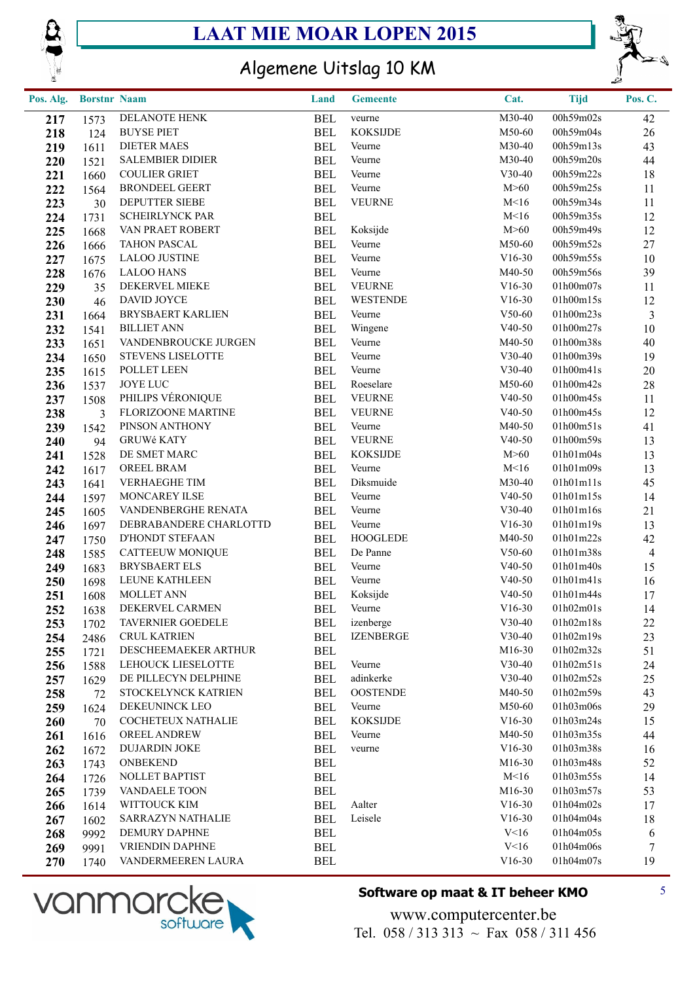



## Algemene Uitslag 10 KM

| Pos. Alg. | <b>Borstnr Naam</b> |                           | Land       | <b>Gemeente</b>  | Cat.     | <b>Tijd</b> | Pos. C.        |
|-----------|---------------------|---------------------------|------------|------------------|----------|-------------|----------------|
| 217       | 1573                | DELANOTE HENK             | <b>BEL</b> | veurne           | M30-40   | 00h59m02s   | 42             |
| 218       | 124                 | <b>BUYSE PIET</b>         | <b>BEL</b> | <b>KOKSIJDE</b>  | M50-60   | 00h59m04s   | 26             |
| 219       | 1611                | <b>DIETER MAES</b>        | <b>BEL</b> | Veurne           | M30-40   | 00h59m13s   | 43             |
| 220       | 1521                | <b>SALEMBIER DIDIER</b>   | <b>BEL</b> | Veurne           | M30-40   | 00h59m20s   | 44             |
| 221       | 1660                | <b>COULIER GRIET</b>      | <b>BEL</b> | Veurne           | $V30-40$ | 00h59m22s   | 18             |
| 222       | 1564                | <b>BRONDEEL GEERT</b>     | <b>BEL</b> | Veurne           | M>60     | 00h59m25s   | 11             |
| 223       | 30                  | DEPUTTER SIEBE            | <b>BEL</b> | <b>VEURNE</b>    | M<16     | 00h59m34s   | 11             |
| 224       | 1731                | <b>SCHEIRLYNCK PAR</b>    | <b>BEL</b> |                  | M<16     | 00h59m35s   | 12             |
| 225       | 1668                | VAN PRAET ROBERT          | <b>BEL</b> | Koksijde         | M>60     | 00h59m49s   | 12             |
| 226       | 1666                | <b>TAHON PASCAL</b>       | <b>BEL</b> | Veurne           | M50-60   | 00h59m52s   | 27             |
| 227       | 1675                | <b>LALOO JUSTINE</b>      | <b>BEL</b> | Veurne           | $V16-30$ | 00h59m55s   | 10             |
| 228       | 1676                | <b>LALOO HANS</b>         | <b>BEL</b> | Veurne           | M40-50   | 00h59m56s   | 39             |
| 229       | 35                  | DEKERVEL MIEKE            | <b>BEL</b> | <b>VEURNE</b>    | $V16-30$ | 01h00m07s   | 11             |
| 230       | 46                  | DAVID JOYCE               | <b>BEL</b> | <b>WESTENDE</b>  | $V16-30$ | 01h00m15s   | 12             |
| 231       | 1664                | BRYSBAERT KARLIEN         | <b>BEL</b> | Veurne           | $V50-60$ | 01h00m23s   | $\mathfrak{Z}$ |
| 232       | 1541                | <b>BILLIET ANN</b>        | <b>BEL</b> | Wingene          | $V40-50$ | 01h00m27s   | $10\,$         |
| 233       | 1651                | VANDENBROUCKE JURGEN      | <b>BEL</b> | Veurne           | M40-50   | 01h00m38s   | 40             |
| 234       | 1650                | <b>STEVENS LISELOTTE</b>  | <b>BEL</b> | Veurne           | $V30-40$ | 01h00m39s   | 19             |
| 235       | 1615                | POLLET LEEN               | <b>BEL</b> | Veurne           | $V30-40$ | 01h00m41s   | 20             |
| 236       | 1537                | JOYE LUC                  | <b>BEL</b> | Roeselare        | M50-60   | 01h00m42s   | $28\,$         |
| 237       | 1508                | PHILIPS VÉRONIQUE         | <b>BEL</b> | <b>VEURNE</b>    | $V40-50$ | 01h00m45s   | 11             |
| 238       | 3                   | <b>FLORIZOONE MARTINE</b> | <b>BEL</b> | <b>VEURNE</b>    | $V40-50$ | 01h00m45s   | 12             |
| 239       | 1542                | PINSON ANTHONY            | <b>BEL</b> | Veurne           | M40-50   | 01h00m51s   | 41             |
| 240       | 94                  | <b>GRUWé KATY</b>         | <b>BEL</b> | <b>VEURNE</b>    | $V40-50$ | 01h00m59s   | 13             |
| 241       | 1528                | DE SMET MARC              | <b>BEL</b> | <b>KOKSIJDE</b>  | M>60     | 01h01m04s   | 13             |
| 242       | 1617                | OREEL BRAM                | <b>BEL</b> | Veurne           | M<16     | 01h01m09s   | 13             |
| 243       | 1641                | <b>VERHAEGHE TIM</b>      | <b>BEL</b> | Diksmuide        | M30-40   | 01h01m11s   | 45             |
| 244       | 1597                | MONCAREY ILSE             | <b>BEL</b> | Veurne           | $V40-50$ | 01h01m15s   | 14             |
| 245       | 1605                | VANDENBERGHE RENATA       | <b>BEL</b> | Veurne           | $V30-40$ | 01h01m16s   | 21             |
| 246       | 1697                | DEBRABANDERE CHARLOTTD    | <b>BEL</b> | Veurne           | $V16-30$ | 01h01m19s   | 13             |
| 247       | 1750                | D'HONDT STEFAAN           | <b>BEL</b> | <b>HOOGLEDE</b>  | M40-50   | 01h01m22s   | 42             |
| 248       | 1585                | CATTEEUW MONIQUE          | <b>BEL</b> | De Panne         | $V50-60$ | 01h01m38s   | $\overline{4}$ |
| 249       | 1683                | <b>BRYSBAERT ELS</b>      | <b>BEL</b> | Veurne           | $V40-50$ | 01h01m40s   | 15             |
| 250       | 1698                | LEUNE KATHLEEN            | <b>BEL</b> | Veurne           | $V40-50$ | 01h01m41s   | 16             |
| 251       | 1608                | <b>MOLLET ANN</b>         | <b>BEL</b> | Koksijde         | $V40-50$ | 01h01m44s   | 17             |
| 252       | 1638                | DEKERVEL CARMEN           | <b>BEL</b> | Veurne           | $V16-30$ | 01h02m01s   | 14             |
| 253       | 1702                | <b>TAVERNIER GOEDELE</b>  | <b>BEL</b> | izenberge        | $V30-40$ | 01h02m18s   | 22             |
| 254       | 2486                | <b>CRUL KATRIEN</b>       | <b>BEL</b> | <b>IZENBERGE</b> | $V30-40$ | 01h02m19s   | 23             |
| 255       | 1721                | DESCHEEMAEKER ARTHUR      | <b>BEL</b> |                  | M16-30   | 01h02m32s   | 51             |
| 256       | 1588                | LEHOUCK LIESELOTTE        | <b>BEL</b> | Veurne           | $V30-40$ | 01h02m51s   | 24             |
| 257       | 1629                | DE PILLECYN DELPHINE      | <b>BEL</b> | adinkerke        | $V30-40$ | 01h02m52s   | 25             |
| 258       | 72                  | STOCKELYNCK KATRIEN       | <b>BEL</b> | <b>OOSTENDE</b>  | M40-50   | 01h02m59s   | 43             |
| 259       | 1624                | DEKEUNINCK LEO            | <b>BEL</b> | Veurne           | M50-60   | 01h03m06s   | 29             |
| 260       | 70                  | COCHETEUX NATHALIE        | <b>BEL</b> | <b>KOKSIJDE</b>  | $V16-30$ | 01h03m24s   | 15             |
| 261       | 1616                | OREEL ANDREW              | <b>BEL</b> | Veurne           | M40-50   | 01h03m35s   | 44             |
| 262       | 1672                | <b>DUJARDIN JOKE</b>      | <b>BEL</b> | veurne           | $V16-30$ | 01h03m38s   | 16             |
| 263       | 1743                | <b>ONBEKEND</b>           | <b>BEL</b> |                  | M16-30   | 01h03m48s   | 52             |
| 264       | 1726                | NOLLET BAPTIST            | <b>BEL</b> |                  | M<16     | 01h03m55s   | 14             |
| 265       | 1739                | VANDAELE TOON             | <b>BEL</b> |                  | M16-30   | 01h03m57s   | 53             |
| 266       | 1614                | WITTOUCK KIM              | <b>BEL</b> | Aalter           | $V16-30$ | 01h04m02s   | 17             |
| 267       | 1602                | SARRAZYN NATHALIE         | <b>BEL</b> | Leisele          | $V16-30$ | 01h04m04s   | 18             |
| 268       | 9992                | DEMURY DAPHNE             | <b>BEL</b> |                  | V<16     | 01h04m05s   | 6              |
| 269       | 9991                | VRIENDIN DAPHNE           | <b>BEL</b> |                  | V<16     | 01h04m06s   | $\tau$         |
| 270       | 1740                | VANDERMEEREN LAURA        | <b>BEL</b> |                  | $V16-30$ | 01h04m07s   | 19             |



### **Software op maat & IT beheer KMO** 5